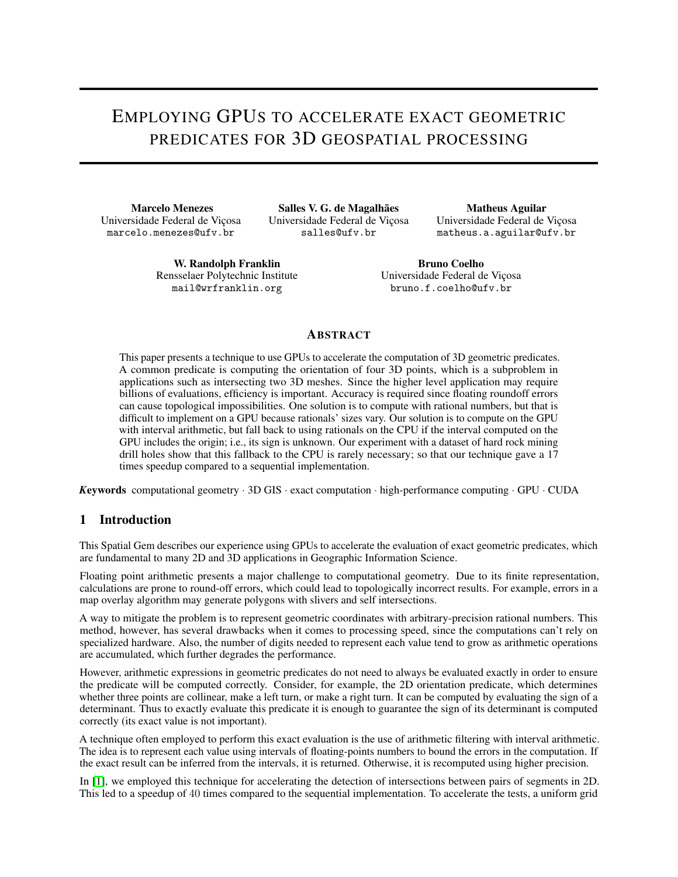# EMPLOYING GPUS TO ACCELERATE EXACT GEOMETRIC PREDICATES FOR 3D GEOSPATIAL PROCESSING

Marcelo Menezes Universidade Federal de Viçosa marcelo.menezes@ufv.br

Salles V. G. de Magalhães Universidade Federal de Viçosa salles@ufv.br

Matheus Aguilar Universidade Federal de Viçosa matheus.a.aguilar@ufv.br

W. Randolph Franklin Rensselaer Polytechnic Institute mail@wrfranklin.org

Bruno Coelho Universidade Federal de Viçosa bruno.f.coelho@ufv.br

# **ABSTRACT**

This paper presents a technique to use GPUs to accelerate the computation of 3D geometric predicates. A common predicate is computing the orientation of four 3D points, which is a subproblem in applications such as intersecting two 3D meshes. Since the higher level application may require billions of evaluations, efficiency is important. Accuracy is required since floating roundoff errors can cause topological impossibilities. One solution is to compute with rational numbers, but that is difficult to implement on a GPU because rationals' sizes vary. Our solution is to compute on the GPU with interval arithmetic, but fall back to using rationals on the CPU if the interval computed on the GPU includes the origin; i.e., its sign is unknown. Our experiment with a dataset of hard rock mining drill holes show that this fallback to the CPU is rarely necessary; so that our technique gave a 17 times speedup compared to a sequential implementation.

*K*eywords computational geometry · 3D GIS · exact computation · high-performance computing · GPU · CUDA

## 1 Introduction

This Spatial Gem describes our experience using GPUs to accelerate the evaluation of exact geometric predicates, which are fundamental to many 2D and 3D applications in Geographic Information Science.

Floating point arithmetic presents a major challenge to computational geometry. Due to its finite representation, calculations are prone to round-off errors, which could lead to topologically incorrect results. For example, errors in a map overlay algorithm may generate polygons with slivers and self intersections.

A way to mitigate the problem is to represent geometric coordinates with arbitrary-precision rational numbers. This method, however, has several drawbacks when it comes to processing speed, since the computations can't rely on specialized hardware. Also, the number of digits needed to represent each value tend to grow as arithmetic operations are accumulated, which further degrades the performance.

However, arithmetic expressions in geometric predicates do not need to always be evaluated exactly in order to ensure the predicate will be computed correctly. Consider, for example, the 2D orientation predicate, which determines whether three points are collinear, make a left turn, or make a right turn. It can be computed by evaluating the sign of a determinant. Thus to exactly evaluate this predicate it is enough to guarantee the sign of its determinant is computed correctly (its exact value is not important).

A technique often employed to perform this exact evaluation is the use of arithmetic filtering with interval arithmetic. The idea is to represent each value using intervals of floating-points numbers to bound the errors in the computation. If the exact result can be inferred from the intervals, it is returned. Otherwise, it is recomputed using higher precision.

In [\[1\]](#page-7-0), we employed this technique for accelerating the detection of intersections between pairs of segments in 2D. This led to a speedup of 40 times compared to the sequential implementation. To accelerate the tests, a uniform grid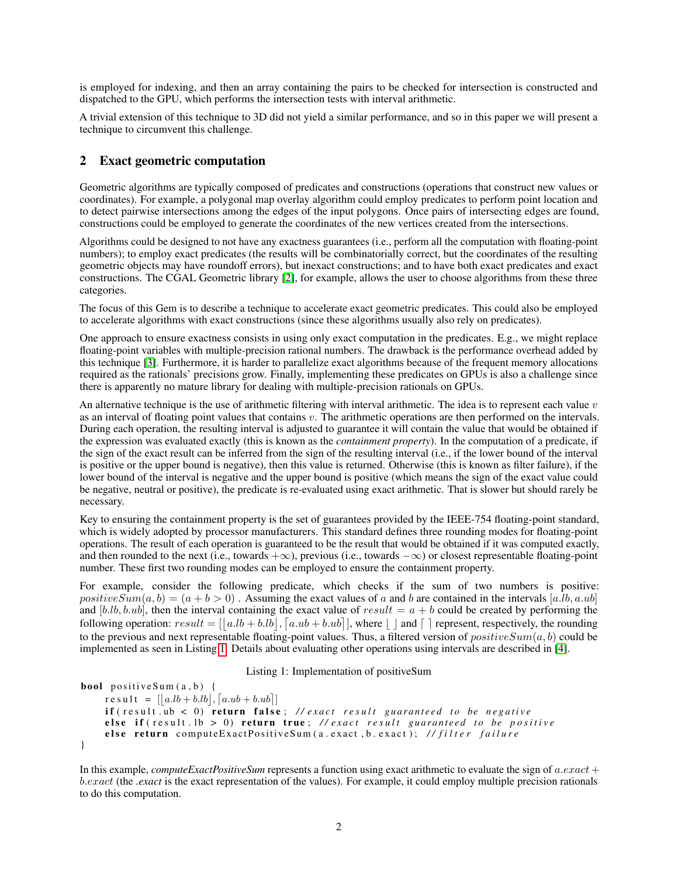is employed for indexing, and then an array containing the pairs to be checked for intersection is constructed and dispatched to the GPU, which performs the intersection tests with interval arithmetic.

A trivial extension of this technique to 3D did not yield a similar performance, and so in this paper we will present a technique to circumvent this challenge.

## <span id="page-1-1"></span>2 Exact geometric computation

Geometric algorithms are typically composed of predicates and constructions (operations that construct new values or coordinates). For example, a polygonal map overlay algorithm could employ predicates to perform point location and to detect pairwise intersections among the edges of the input polygons. Once pairs of intersecting edges are found, constructions could be employed to generate the coordinates of the new vertices created from the intersections.

Algorithms could be designed to not have any exactness guarantees (i.e., perform all the computation with floating-point numbers); to employ exact predicates (the results will be combinatorially correct, but the coordinates of the resulting geometric objects may have roundoff errors), but inexact constructions; and to have both exact predicates and exact constructions. The CGAL Geometric library [\[2\]](#page-7-1), for example, allows the user to choose algorithms from these three categories.

The focus of this Gem is to describe a technique to accelerate exact geometric predicates. This could also be employed to accelerate algorithms with exact constructions (since these algorithms usually also rely on predicates).

One approach to ensure exactness consists in using only exact computation in the predicates. E.g., we might replace floating-point variables with multiple-precision rational numbers. The drawback is the performance overhead added by this technique [\[3\]](#page-7-2). Furthermore, it is harder to parallelize exact algorithms because of the frequent memory allocations required as the rationals' precisions grow. Finally, implementing these predicates on GPUs is also a challenge since there is apparently no mature library for dealing with multiple-precision rationals on GPUs.

An alternative technique is the use of arithmetic filtering with interval arithmetic. The idea is to represent each value  $v$ as an interval of floating point values that contains  $v$ . The arithmetic operations are then performed on the intervals. During each operation, the resulting interval is adjusted to guarantee it will contain the value that would be obtained if the expression was evaluated exactly (this is known as the *containment property*). In the computation of a predicate, if the sign of the exact result can be inferred from the sign of the resulting interval (i.e., if the lower bound of the interval is positive or the upper bound is negative), then this value is returned. Otherwise (this is known as filter failure), if the lower bound of the interval is negative and the upper bound is positive (which means the sign of the exact value could be negative, neutral or positive), the predicate is re-evaluated using exact arithmetic. That is slower but should rarely be necessary.

Key to ensuring the containment property is the set of guarantees provided by the IEEE-754 floating-point standard, which is widely adopted by processor manufacturers. This standard defines three rounding modes for floating-point operations. The result of each operation is guaranteed to be the result that would be obtained if it was computed exactly, and then rounded to the next (i.e., towards  $+\infty$ ), previous (i.e., towards  $-\infty$ ) or closest representable floating-point number. These first two rounding modes can be employed to ensure the containment property.

For example, consider the following predicate, which checks if the sum of two numbers is positive: positive  $Sum(a, b) = (a + b > 0)$ . Assuming the exact values of a and b are contained in the intervals [a.lb, a.ub] and [b.lb, b.ub], then the interval containing the exact value of result  $= a + b$  could be created by performing the following operation:  $result = [ | a l b + b l b |, [ a u b + b u b] ]$ , where  $[ | ]$  and  $[ | ]$  represent, respectively, the rounding to the previous and next representable floating-point values. Thus, a filtered version of  $positiveSum(a, b)$  could be implemented as seen in Listing [1.](#page-1-0) Details about evaluating other operations using intervals are described in [\[4\]](#page-7-3).

#### Listing 1: Implementation of positiveSum

```
bool positive Sum(a, b) {
    r e s u l t = [|a.lb + b.lb|, [a.ub + b.ub]|if (result .ub < 0) return false; //exact result guaranteed to be negative
    else if (result . lb > 0) return true; //exact result guaranteed to be positive
    else return computeExactPositiveSum(a.exact,b.exact); //filter failure
}
```
In this example, *computeExactPositiveSum* represents a function using exact arithmetic to evaluate the sign of  $a {\cdot} exact +$ b.exact (the *.exact* is the exact representation of the values). For example, it could employ multiple precision rationals to do this computation.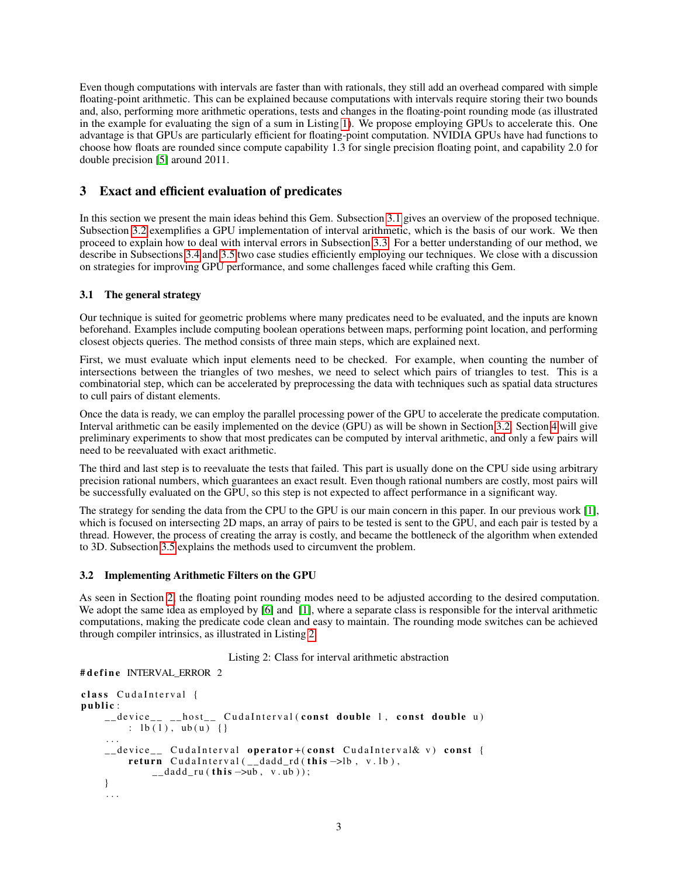Even though computations with intervals are faster than with rationals, they still add an overhead compared with simple floating-point arithmetic. This can be explained because computations with intervals require storing their two bounds and, also, performing more arithmetic operations, tests and changes in the floating-point rounding mode (as illustrated in the example for evaluating the sign of a sum in Listing [1\)](#page-1-0). We propose employing GPUs to accelerate this. One advantage is that GPUs are particularly efficient for floating-point computation. NVIDIA GPUs have had functions to choose how floats are rounded since compute capability 1.3 for single precision floating point, and capability 2.0 for double precision [\[5\]](#page-7-4) around 2011.

# 3 Exact and efficient evaluation of predicates

In this section we present the main ideas behind this Gem. Subsection [3.1](#page-2-0) gives an overview of the proposed technique. Subsection [3.2](#page-2-1) exemplifies a GPU implementation of interval arithmetic, which is the basis of our work. We then proceed to explain how to deal with interval errors in Subsection [3.3.](#page-3-0) For a better understanding of our method, we describe in Subsections [3.4](#page-3-1) and [3.5](#page-4-0) two case studies efficiently employing our techniques. We close with a discussion on strategies for improving GPU performance, and some challenges faced while crafting this Gem.

### <span id="page-2-0"></span>3.1 The general strategy

Our technique is suited for geometric problems where many predicates need to be evaluated, and the inputs are known beforehand. Examples include computing boolean operations between maps, performing point location, and performing closest objects queries. The method consists of three main steps, which are explained next.

First, we must evaluate which input elements need to be checked. For example, when counting the number of intersections between the triangles of two meshes, we need to select which pairs of triangles to test. This is a combinatorial step, which can be accelerated by preprocessing the data with techniques such as spatial data structures to cull pairs of distant elements.

Once the data is ready, we can employ the parallel processing power of the GPU to accelerate the predicate computation. Interval arithmetic can be easily implemented on the device (GPU) as will be shown in Section [3.2.](#page-2-1) Section [4](#page-6-0) will give preliminary experiments to show that most predicates can be computed by interval arithmetic, and only a few pairs will need to be reevaluated with exact arithmetic.

The third and last step is to reevaluate the tests that failed. This part is usually done on the CPU side using arbitrary precision rational numbers, which guarantees an exact result. Even though rational numbers are costly, most pairs will be successfully evaluated on the GPU, so this step is not expected to affect performance in a significant way.

The strategy for sending the data from the CPU to the GPU is our main concern in this paper. In our previous work [\[1\]](#page-7-0), which is focused on intersecting 2D maps, an array of pairs to be tested is sent to the GPU, and each pair is tested by a thread. However, the process of creating the array is costly, and became the bottleneck of the algorithm when extended to 3D. Subsection [3.5](#page-4-0) explains the methods used to circumvent the problem.

#### <span id="page-2-1"></span>3.2 Implementing Arithmetic Filters on the GPU

As seen in Section [2,](#page-1-1) the floating point rounding modes need to be adjusted according to the desired computation. We adopt the same idea as employed by [\[6\]](#page-7-5) and [\[1\]](#page-7-0), where a separate class is responsible for the interval arithmetic computations, making the predicate code clean and easy to maintain. The rounding mode switches can be achieved through compiler intrinsics, as illustrated in Listing [2.](#page-2-2)

Listing 2: Class for interval arithmetic abstraction

```
# define INTERVAL ERROR 2
```

```
class CudaInterval {
public :
    __ device__ __ host__ CudaInterval (const double 1, const double u)
         : \frac{1}{b(1)}, \frac{1}{a} ub (u) {}
     . . .
     __device__ CudaInterval operator+(const CudaInterval& v) const {
         return CudaInterval (__dadd_rd (this ->lb, v.lb),
             \Boxdadd_ru (this \rightarrowub, v.ub));
    }
     . . .
```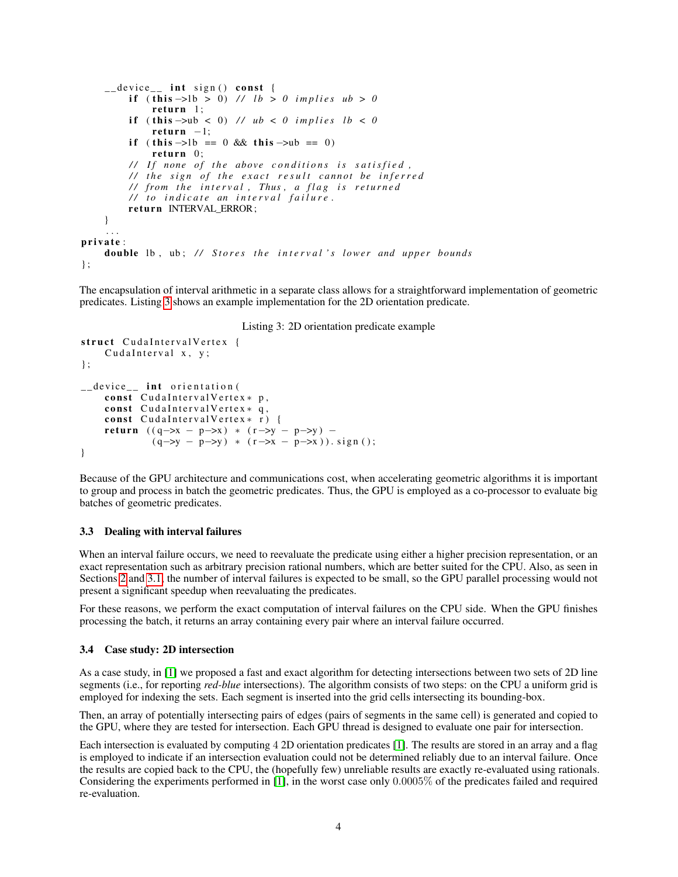```
\text{\_} device_\text{\_} int sign() const {
          if (this -> 0) // lb > 0 implies ub > 0return 1;if (this \rightarrow ub \le 0) // ub \le 0 implies lb \le 0return -1;
         if ( this \rightarrowlb == 0 && this \rightarrowub == 0)
              return 0;
         // If none of the above conditions is satisfied,
         // the sign of the exact result cannot be inferred
          / / f r om t h e i n t e r v a l , Thus , a f l a g i s r e t u r n e d
          / / t o i n d i c a t e an i n t e r v a l f a i l u r e .
         return INTERVAL ERROR;
    }
     . . .
private:
    double lb, ub; // Stores the interval's lower and upper bounds
\} ;
```
The encapsulation of interval arithmetic in a separate class allows for a straightforward implementation of geometric predicates. Listing [3](#page-3-2) shows an example implementation for the 2D orientation predicate.

#### Listing 3: 2D orientation predicate example

```
struct CudaIntervalVertex {
     CudaInterval x, y;
} ;
__device__ int orientation (
      const CudaIntervalVertex* p,
     const CudaIntervalVertex * q,
     const CudaIntervalVertex \ast r) {
     return ((q \rightarrow x - p \rightarrow x) * (r \rightarrow y - p \rightarrow y) -(q \rightarrow y - p \rightarrow y) * (r \rightarrow x - p \rightarrow x)). sign();
}
```
Because of the GPU architecture and communications cost, when accelerating geometric algorithms it is important to group and process in batch the geometric predicates. Thus, the GPU is employed as a co-processor to evaluate big batches of geometric predicates.

#### <span id="page-3-0"></span>3.3 Dealing with interval failures

When an interval failure occurs, we need to reevaluate the predicate using either a higher precision representation, or an exact representation such as arbitrary precision rational numbers, which are better suited for the CPU. Also, as seen in Sections [2](#page-1-1) and [3.1,](#page-2-0) the number of interval failures is expected to be small, so the GPU parallel processing would not present a significant speedup when reevaluating the predicates.

For these reasons, we perform the exact computation of interval failures on the CPU side. When the GPU finishes processing the batch, it returns an array containing every pair where an interval failure occurred.

#### <span id="page-3-1"></span>3.4 Case study: 2D intersection

As a case study, in [\[1\]](#page-7-0) we proposed a fast and exact algorithm for detecting intersections between two sets of 2D line segments (i.e., for reporting *red-blue* intersections). The algorithm consists of two steps: on the CPU a uniform grid is employed for indexing the sets. Each segment is inserted into the grid cells intersecting its bounding-box.

Then, an array of potentially intersecting pairs of edges (pairs of segments in the same cell) is generated and copied to the GPU, where they are tested for intersection. Each GPU thread is designed to evaluate one pair for intersection.

Each intersection is evaluated by computing 4 2D orientation predicates [\[1\]](#page-7-0). The results are stored in an array and a flag is employed to indicate if an intersection evaluation could not be determined reliably due to an interval failure. Once the results are copied back to the CPU, the (hopefully few) unreliable results are exactly re-evaluated using rationals. Considering the experiments performed in [\[1\]](#page-7-0), in the worst case only 0.0005% of the predicates failed and required re-evaluation.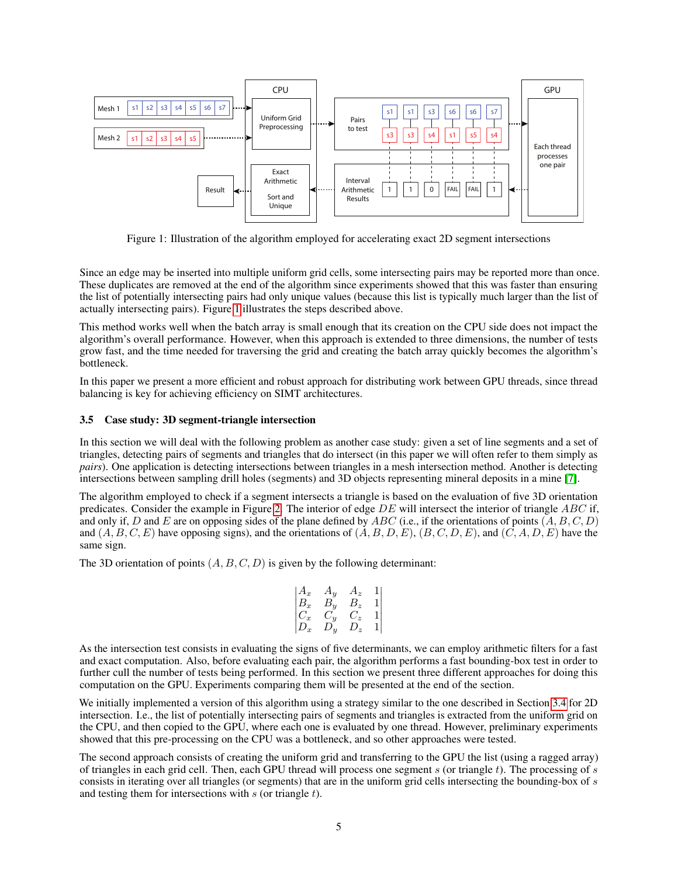

<span id="page-4-1"></span>Figure 1: Illustration of the algorithm employed for accelerating exact 2D segment intersections

Since an edge may be inserted into multiple uniform grid cells, some intersecting pairs may be reported more than once. These duplicates are removed at the end of the algorithm since experiments showed that this was faster than ensuring the list of potentially intersecting pairs had only unique values (because this list is typically much larger than the list of actually intersecting pairs). Figure [1](#page-4-1) illustrates the steps described above.

This method works well when the batch array is small enough that its creation on the CPU side does not impact the algorithm's overall performance. However, when this approach is extended to three dimensions, the number of tests grow fast, and the time needed for traversing the grid and creating the batch array quickly becomes the algorithm's bottleneck.

In this paper we present a more efficient and robust approach for distributing work between GPU threads, since thread balancing is key for achieving efficiency on SIMT architectures.

#### <span id="page-4-0"></span>3.5 Case study: 3D segment-triangle intersection

In this section we will deal with the following problem as another case study: given a set of line segments and a set of triangles, detecting pairs of segments and triangles that do intersect (in this paper we will often refer to them simply as *pairs*). One application is detecting intersections between triangles in a mesh intersection method. Another is detecting intersections between sampling drill holes (segments) and 3D objects representing mineral deposits in a mine [\[7\]](#page-7-6).

The algorithm employed to check if a segment intersects a triangle is based on the evaluation of five 3D orientation predicates. Consider the example in Figure [2.](#page-5-0) The interior of edge  $DE$  will intersect the interior of triangle  $ABC$  if, and only if, D and E are on opposing sides of the plane defined by ABC (i.e., if the orientations of points  $(A, B, C, D)$ and  $(A, B, C, E)$  have opposing signs), and the orientations of  $(A, B, D, E)$ ,  $(B, C, D, E)$ , and  $(C, A, D, E)$  have the same sign.

The 3D orientation of points  $(A, B, C, D)$  is given by the following determinant:

$$
\begin{vmatrix} A_x & A_y & A_z & 1 \\ B_x & B_y & B_z & 1 \\ C_x & C_y & C_z & 1 \\ D_x & D_y & D_z & 1 \end{vmatrix}
$$

As the intersection test consists in evaluating the signs of five determinants, we can employ arithmetic filters for a fast and exact computation. Also, before evaluating each pair, the algorithm performs a fast bounding-box test in order to further cull the number of tests being performed. In this section we present three different approaches for doing this computation on the GPU. Experiments comparing them will be presented at the end of the section.

We initially implemented a version of this algorithm using a strategy similar to the one described in Section [3.4](#page-3-1) for 2D intersection. I.e., the list of potentially intersecting pairs of segments and triangles is extracted from the uniform grid on the CPU, and then copied to the GPU, where each one is evaluated by one thread. However, preliminary experiments showed that this pre-processing on the CPU was a bottleneck, and so other approaches were tested.

The second approach consists of creating the uniform grid and transferring to the GPU the list (using a ragged array) of triangles in each grid cell. Then, each GPU thread will process one segment s (or triangle t). The processing of s consists in iterating over all triangles (or segments) that are in the uniform grid cells intersecting the bounding-box of s and testing them for intersections with  $s$  (or triangle  $t$ ).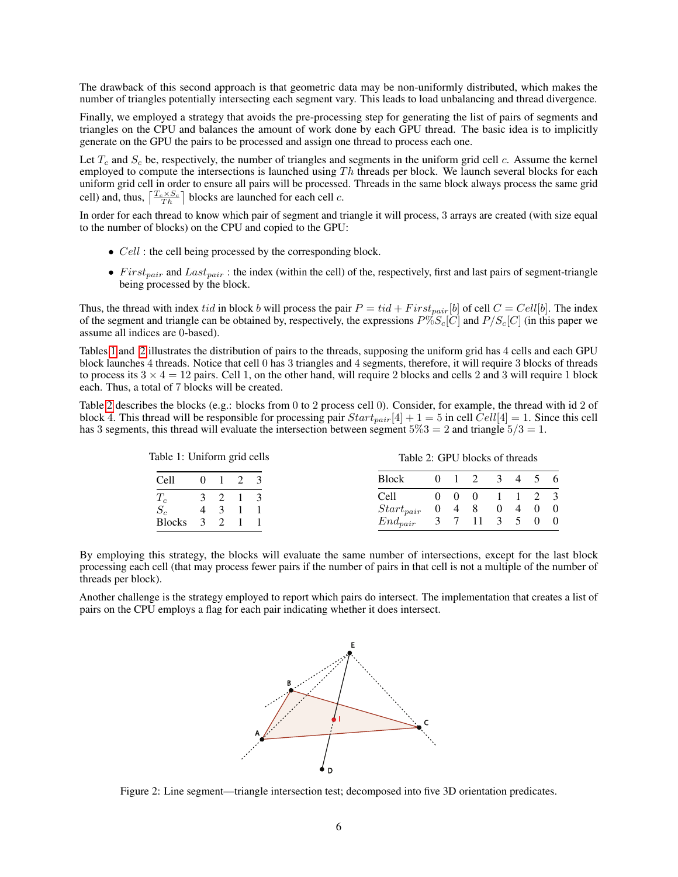The drawback of this second approach is that geometric data may be non-uniformly distributed, which makes the number of triangles potentially intersecting each segment vary. This leads to load unbalancing and thread divergence.

Finally, we employed a strategy that avoids the pre-processing step for generating the list of pairs of segments and triangles on the CPU and balances the amount of work done by each GPU thread. The basic idea is to implicitly generate on the GPU the pairs to be processed and assign one thread to process each one.

Let  $T_c$  and  $S_c$  be, respectively, the number of triangles and segments in the uniform grid cell c. Assume the kernel employed to compute the intersections is launched using  $Th$  threads per block. We launch several blocks for each uniform grid cell in order to ensure all pairs will be processed. Threads in the same block always process the same grid cell) and, thus,  $\left\lceil \frac{T_c \times S_c}{Th} \right\rceil$  blocks are launched for each cell c.

In order for each thread to know which pair of segment and triangle it will process, 3 arrays are created (with size equal to the number of blocks) on the CPU and copied to the GPU:

- *Cell* : the cell being processed by the corresponding block.
- First<sub>pair</sub> and Last<sub>pair</sub>: the index (within the cell) of the, respectively, first and last pairs of segment-triangle being processed by the block.

Thus, the thread with index tid in block b will process the pair  $P = tid + First_{pair}[b]$  of cell  $C = Cell[b]$ . The index of the segment and triangle can be obtained by, respectively, the expressions  $P\%S_c[C]$  and  $P/S_c[C]$  (in this paper we assume all indices are 0-based).

Tables [1](#page-5-1) and [2](#page-5-2) illustrates the distribution of pairs to the threads, supposing the uniform grid has 4 cells and each GPU block launches 4 threads. Notice that cell 0 has 3 triangles and 4 segments, therefore, it will require 3 blocks of threads to process its  $3 \times 4 = 12$  pairs. Cell 1, on the other hand, will require 2 blocks and cells 2 and 3 will require 1 block each. Thus, a total of 7 blocks will be created.

Table [2](#page-5-2) describes the blocks (e.g.: blocks from 0 to 2 process cell 0). Consider, for example, the thread with id 2 of block 4. This thread will be responsible for processing pair  $Start_{pair}[4] + 1 = 5$  in cell  $Cell[4] = 1$ . Since this cell has 3 segments, this thread will evaluate the intersection between segment  $5\%3 = 2$  and triangle  $5/3 = 1$ .

<span id="page-5-1"></span>

| Table 1: Uniform grid cells |                 |  | Table 2: GPU blocks of threads |  |               |  |  |
|-----------------------------|-----------------|--|--------------------------------|--|---------------|--|--|
| Cell                        | $0 \t1 \t2 \t3$ |  | <b>Block</b>                   |  | 0 1 2 3 4 5 6 |  |  |
|                             | $3 \t2 \t1 \t3$ |  | Cell —                         |  | 0 0 0 1 1 2 3 |  |  |
| 4   3   1   1               |                 |  | $Start_{pair}$ 0 4 8 0 4 0 0   |  |               |  |  |
| 3 2 1 1                     |                 |  | $End_{pair}$ 3 7 11 3 5 0 0    |  |               |  |  |

By employing this strategy, the blocks will evaluate the same number of intersections, except for the last block processing each cell (that may process fewer pairs if the number of pairs in that cell is not a multiple of the number of threads per block).

Another challenge is the strategy employed to report which pairs do intersect. The implementation that creates a list of pairs on the CPU employs a flag for each pair indicating whether it does intersect.

<span id="page-5-2"></span>

<span id="page-5-0"></span>Figure 2: Line segment—triangle intersection test; decomposed into five 3D orientation predicates.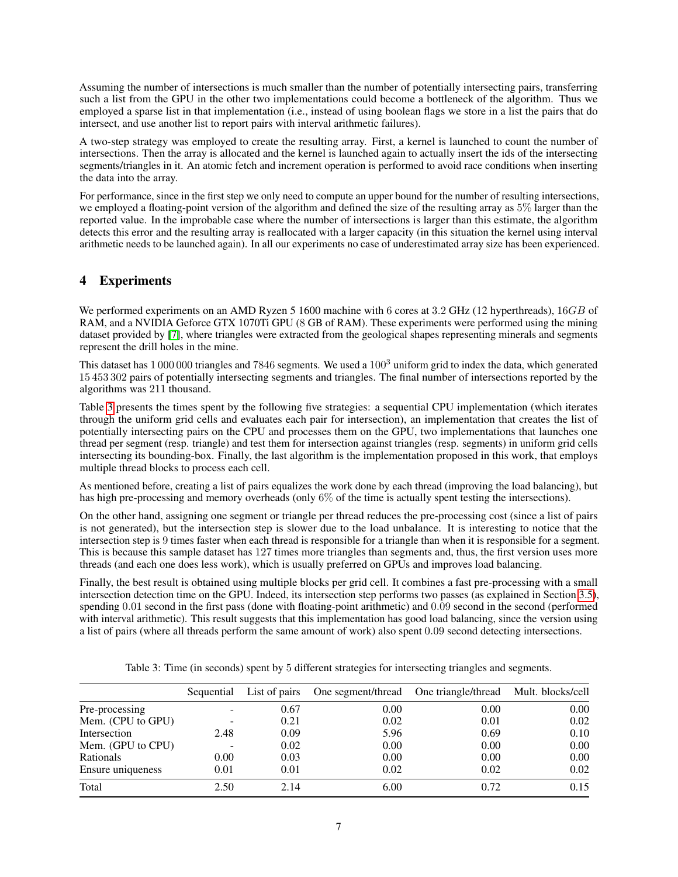Assuming the number of intersections is much smaller than the number of potentially intersecting pairs, transferring such a list from the GPU in the other two implementations could become a bottleneck of the algorithm. Thus we employed a sparse list in that implementation (i.e., instead of using boolean flags we store in a list the pairs that do intersect, and use another list to report pairs with interval arithmetic failures).

A two-step strategy was employed to create the resulting array. First, a kernel is launched to count the number of intersections. Then the array is allocated and the kernel is launched again to actually insert the ids of the intersecting segments/triangles in it. An atomic fetch and increment operation is performed to avoid race conditions when inserting the data into the array.

For performance, since in the first step we only need to compute an upper bound for the number of resulting intersections, we employed a floating-point version of the algorithm and defined the size of the resulting array as 5% larger than the reported value. In the improbable case where the number of intersections is larger than this estimate, the algorithm detects this error and the resulting array is reallocated with a larger capacity (in this situation the kernel using interval arithmetic needs to be launched again). In all our experiments no case of underestimated array size has been experienced.

# <span id="page-6-0"></span>4 Experiments

We performed experiments on an AMD Ryzen 5 1600 machine with 6 cores at 3.2 GHz (12 hyperthreads), 16GB of RAM, and a NVIDIA Geforce GTX 1070Ti GPU (8 GB of RAM). These experiments were performed using the mining dataset provided by [\[7\]](#page-7-6), where triangles were extracted from the geological shapes representing minerals and segments represent the drill holes in the mine.

This dataset has  $1\,000\,000$  triangles and 7846 segments. We used a  $100<sup>3</sup>$  uniform grid to index the data, which generated 15 453 302 pairs of potentially intersecting segments and triangles. The final number of intersections reported by the algorithms was 211 thousand.

Table [3](#page-6-1) presents the times spent by the following five strategies: a sequential CPU implementation (which iterates through the uniform grid cells and evaluates each pair for intersection), an implementation that creates the list of potentially intersecting pairs on the CPU and processes them on the GPU, two implementations that launches one thread per segment (resp. triangle) and test them for intersection against triangles (resp. segments) in uniform grid cells intersecting its bounding-box. Finally, the last algorithm is the implementation proposed in this work, that employs multiple thread blocks to process each cell.

As mentioned before, creating a list of pairs equalizes the work done by each thread (improving the load balancing), but has high pre-processing and memory overheads (only 6% of the time is actually spent testing the intersections).

On the other hand, assigning one segment or triangle per thread reduces the pre-processing cost (since a list of pairs is not generated), but the intersection step is slower due to the load unbalance. It is interesting to notice that the intersection step is 9 times faster when each thread is responsible for a triangle than when it is responsible for a segment. This is because this sample dataset has 127 times more triangles than segments and, thus, the first version uses more threads (and each one does less work), which is usually preferred on GPUs and improves load balancing.

Finally, the best result is obtained using multiple blocks per grid cell. It combines a fast pre-processing with a small intersection detection time on the GPU. Indeed, its intersection step performs two passes (as explained in Section [3.5\)](#page-4-0), spending 0.01 second in the first pass (done with floating-point arithmetic) and 0.09 second in the second (performed with interval arithmetic). This result suggests that this implementation has good load balancing, since the version using a list of pairs (where all threads perform the same amount of work) also spent 0.09 second detecting intersections.

|                   | Sequential |      | List of pairs One segment/thread One triangle/thread Mult. blocks/cell |      |      |
|-------------------|------------|------|------------------------------------------------------------------------|------|------|
| Pre-processing    |            | 0.67 | 0.00                                                                   | 0.00 | 0.00 |
| Mem. (CPU to GPU) |            | 0.21 | 0.02                                                                   | 0.01 | 0.02 |
| Intersection      | 2.48       | 0.09 | 5.96                                                                   | 0.69 | 0.10 |
| Mem. (GPU to CPU) |            | 0.02 | 0.00                                                                   | 0.00 | 0.00 |
| Rationals         | 0.00       | 0.03 | 0.00                                                                   | 0.00 | 0.00 |
| Ensure uniqueness | 0.01       | 0.01 | 0.02                                                                   | 0.02 | 0.02 |
| Total             | 2.50       | 2.14 | 6.00                                                                   | 0.72 | 0.15 |

<span id="page-6-1"></span>Table 3: Time (in seconds) spent by 5 different strategies for intersecting triangles and segments.